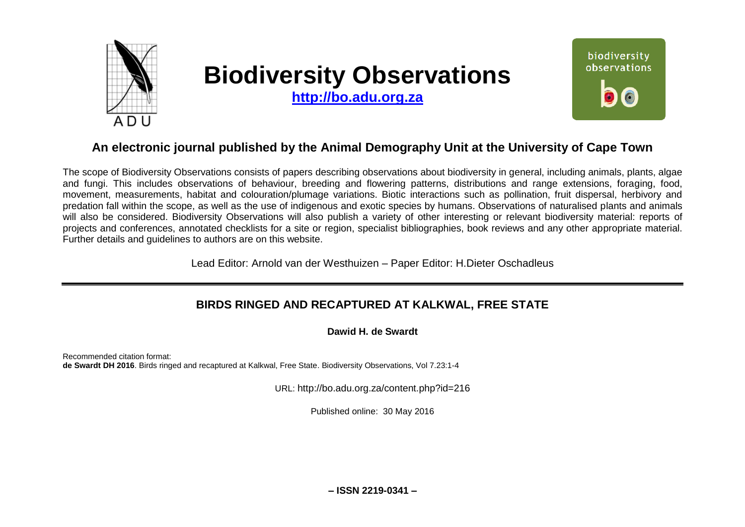

# **Biodiversity Observations**

**[http://bo.adu.org.za](http://bo.adu.org.za/)**



## **An electronic journal published by the Animal Demography Unit at the University of Cape Town**

The scope of Biodiversity Observations consists of papers describing observations about biodiversity in general, including animals, plants, algae and fungi. This includes observations of behaviour, breeding and flowering patterns, distributions and range extensions, foraging, food, movement, measurements, habitat and colouration/plumage variations. Biotic interactions such as pollination, fruit dispersal, herbivory and predation fall within the scope, as well as the use of indigenous and exotic species by humans. Observations of naturalised plants and animals will also be considered. Biodiversity Observations will also publish a variety of other interesting or relevant biodiversity material: reports of projects and conferences, annotated checklists for a site or region, specialist bibliographies, book reviews and any other appropriate material. Further details and guidelines to authors are on this website.

Lead Editor: Arnold van der Westhuizen – Paper Editor: H.Dieter Oschadleus

## **BIRDS RINGED AND RECAPTURED AT KALKWAL, FREE STATE**

**Dawid H. de Swardt**

Recommended citation format: **de Swardt DH 2016**. Birds ringed and recaptured at Kalkwal, Free State. Biodiversity Observations, Vol 7.23:1-4

URL: http://bo.adu.org.za/content.php?id=216

Published online: 30 May 2016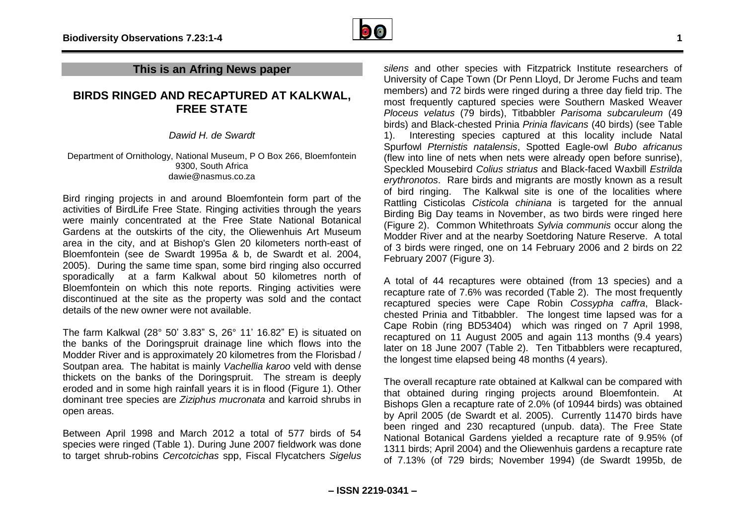

#### **This is an Afring News paper**

### **BIRDS RINGED AND RECAPTURED AT KALKWAL, FREE STATE**

*Dawid H. de Swardt*

#### Department of Ornithology, National Museum, P O Box 266, Bloemfontein 9300, South Africa dawie@nasmus.co.za

Bird ringing projects in and around Bloemfontein form part of the activities of BirdLife Free State. Ringing activities through the years were mainly concentrated at the Free State National Botanical Gardens at the outskirts of the city, the Oliewenhuis Art Museum area in the city, and at Bishop's Glen 20 kilometers north-east of Bloemfontein (see de Swardt 1995a & b, de Swardt et al. 2004, 2005). During the same time span, some bird ringing also occurred sporadically at a farm Kalkwal about 50 kilometres north of Bloemfontein on which this note reports. Ringing activities were discontinued at the site as the property was sold and the contact details of the new owner were not available.

The farm Kalkwal (28° 50' 3.83" S, 26° 11' 16.82" E) is situated on the banks of the Doringspruit drainage line which flows into the Modder River and is approximately 20 kilometres from the Florisbad / Soutpan area. The habitat is mainly *Vachellia karoo* veld with dense thickets on the banks of the Doringspruit. The stream is deeply eroded and in some high rainfall years it is in flood (Figure 1). Other dominant tree species are *Ziziphus mucronata* and karroid shrubs in open areas.

Between April 1998 and March 2012 a total of 577 birds of 54 species were ringed (Table 1). During June 2007 fieldwork was done to target shrub-robins *Cercotcichas* spp, Fiscal Flycatchers *Sigelus* 

*silens* and other species with Fitzpatrick Institute researchers of University of Cape Town (Dr Penn Lloyd, Dr Jerome Fuchs and team members) and 72 birds were ringed during a three day field trip. The most frequently captured species were Southern Masked Weaver *Ploceus velatus* (79 birds), Titbabbler *Parisoma subcaruleum* (49 birds) and Black-chested Prinia *Prinia flavicans* (40 birds) (see Table 1). Interesting species captured at this locality include Natal Spurfowl *Pternistis natalensis*, Spotted Eagle-owl *Bubo africanus* (flew into line of nets when nets were already open before sunrise), Speckled Mousebird *Colius striatus* and Black-faced Waxbill *Estrilda erythronotos*. Rare birds and migrants are mostly known as a result of bird ringing. The Kalkwal site is one of the localities where Rattling Cisticolas *Cisticola chiniana* is targeted for the annual Birding Big Day teams in November, as two birds were ringed here (Figure 2). Common Whitethroats *Sylvia communis* occur along the Modder River and at the nearby Soetdoring Nature Reserve. A total of 3 birds were ringed, one on 14 February 2006 and 2 birds on 22 February 2007 (Figure 3).

A total of 44 recaptures were obtained (from 13 species) and a recapture rate of 7.6% was recorded (Table 2). The most frequently recaptured species were Cape Robin *Cossypha caffra*, Blackchested Prinia and Titbabbler. The longest time lapsed was for a Cape Robin (ring BD53404) which was ringed on 7 April 1998, recaptured on 11 August 2005 and again 113 months (9.4 years) later on 18 June 2007 (Table 2). Ten Titbabblers were recaptured, the longest time elapsed being 48 months (4 years).

The overall recapture rate obtained at Kalkwal can be compared with that obtained during ringing projects around Bloemfontein. At Bishops Glen a recapture rate of 2.0% (of 10944 birds) was obtained by April 2005 (de Swardt et al. 2005). Currently 11470 birds have been ringed and 230 recaptured (unpub. data). The Free State National Botanical Gardens yielded a recapture rate of 9.95% (of 1311 birds; April 2004) and the Oliewenhuis gardens a recapture rate of 7.13% (of 729 birds; November 1994) (de Swardt 1995b, de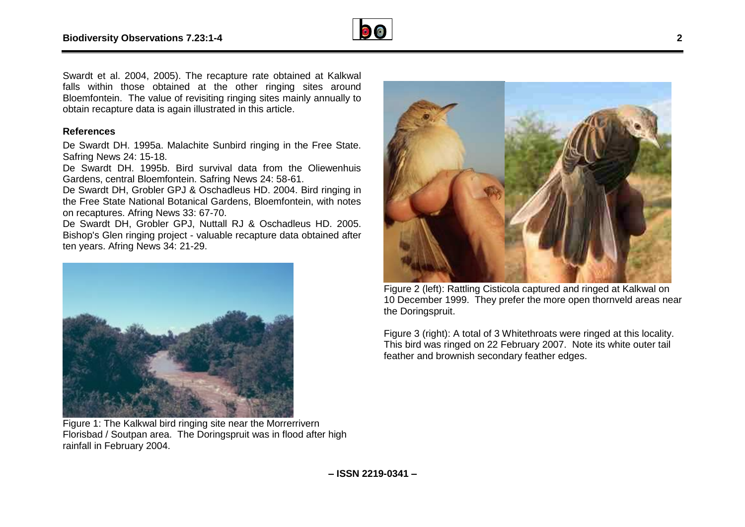

Swardt et al. 2004, 2005). The recapture rate obtained at Kalkwal falls within those obtained at the other ringing sites around Bloemfontein. The value of revisiting ringing sites mainly annually to obtain recapture data is again illustrated in this article.

#### **References**

De Swardt DH. 1995a. Malachite Sunbird ringing in the Free State. Safring News 24: 15-18.

De Swardt DH. 1995b. Bird survival data from the Oliewenhuis Gardens, central Bloemfontein. Safring News 24: 58-61.

De Swardt DH, Grobler GPJ & Oschadleus HD. 2004. Bird ringing in the Free State National Botanical Gardens, Bloemfontein, with notes on recaptures. Afring News 33: 67-70.

De Swardt DH, Grobler GPJ, Nuttall RJ & Oschadleus HD. 2005. Bishop's Glen ringing project - valuable recapture data obtained after ten years. Afring News 34: 21-29.



Figure 1: The Kalkwal bird ringing site near the Morrerrivern Florisbad / Soutpan area. The Doringspruit was in flood after high rainfall in February 2004.



Figure 2 (left): Rattling Cisticola captured and ringed at Kalkwal on 10 December 1999. They prefer the more open thornveld areas near the Doringspruit.

Figure 3 (right): A total of 3 Whitethroats were ringed at this locality. This bird was ringed on 22 February 2007. Note its white outer tail feather and brownish secondary feather edges.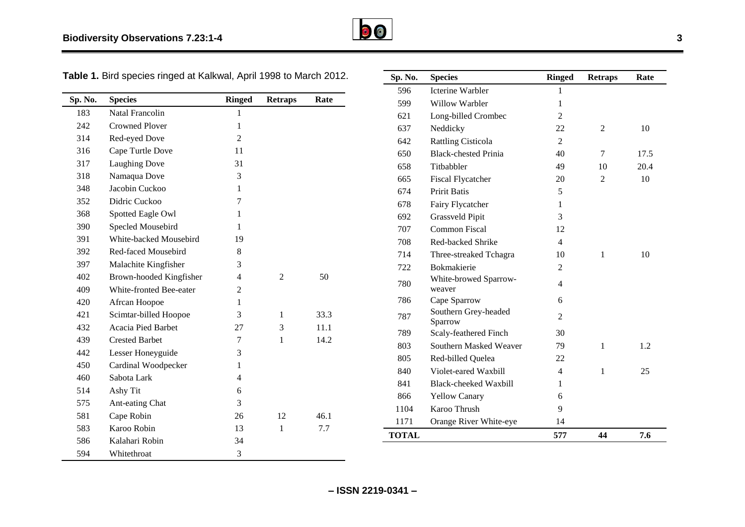

**Table 1.** Bird species ringed at Kalkwal, April 1998 to March 2012.

| Sp. No. | <b>Species</b>          | <b>Ringed</b>  | <b>Retraps</b> | Rate |
|---------|-------------------------|----------------|----------------|------|
| 183     | <b>Natal Francolin</b>  | $\mathbf{1}$   |                |      |
| 242     | <b>Crowned Ployer</b>   | 1              |                |      |
| 314     | Red-eyed Dove           | $\overline{2}$ |                |      |
| 316     | Cape Turtle Dove        | 11             |                |      |
| 317     | Laughing Dove           | 31             |                |      |
| 318     | Namaqua Dove            | 3              |                |      |
| 348     | Jacobin Cuckoo          | 1              |                |      |
| 352     | Didric Cuckoo           | 7              |                |      |
| 368     | Spotted Eagle Owl       | 1              |                |      |
| 390     | Specled Mousebird       | 1              |                |      |
| 391     | White-backed Mousebird  | 19             |                |      |
| 392     | Red-faced Mousebird     | 8              |                |      |
| 397     | Malachite Kingfisher    | 3              |                |      |
| 402     | Brown-hooded Kingfisher | 4              | 2              | 50   |
| 409     | White-fronted Bee-eater | 2              |                |      |
| 420     | Afrcan Hoopoe           | 1              |                |      |
| 421     | Scimtar-billed Hoopoe   | 3              | 1              | 33.3 |
| 432     | Acacia Pied Barbet      | 27             | 3              | 11.1 |
| 439     | <b>Crested Barbet</b>   | 7              | 1              | 14.2 |
| 442     | Lesser Honeyguide       | 3              |                |      |
| 450     | Cardinal Woodpecker     | 1              |                |      |
| 460     | Sabota Lark             | $\overline{4}$ |                |      |
| 514     | Ashy Tit                | 6              |                |      |
| 575     | Ant-eating Chat         | 3              |                |      |
| 581     | Cape Robin              | 26             | 12             | 46.1 |
| 583     | Karoo Robin             | 13             | 1              | 7.7  |
| 586     | Kalahari Robin          | 34             |                |      |
| 594     | Whitethroat             | 3              |                |      |

| Sp. No.      | <b>Species</b>                  | <b>Ringed</b>  | <b>Retraps</b> | Rate |
|--------------|---------------------------------|----------------|----------------|------|
| 596          | Icterine Warbler                | 1              |                |      |
| 599          | Willow Warbler                  | 1              |                |      |
| 621          | Long-billed Crombec             | $\overline{2}$ |                |      |
| 637          | Neddicky                        | 22             | $\overline{2}$ | 10   |
| 642          | <b>Rattling Cisticola</b>       | $\overline{2}$ |                |      |
| 650          | <b>Black-chested Prinia</b>     | 40             | 7              | 17.5 |
| 658          | Titbabbler                      | 49             | 10             | 20.4 |
| 665          | <b>Fiscal Flycatcher</b>        | 20             | 2              | 10   |
| 674          | <b>Pririt Batis</b>             | 5              |                |      |
| 678          | Fairy Flycatcher                | 1              |                |      |
| 692          | <b>Grassveld Pipit</b>          | 3              |                |      |
| 707          | <b>Common Fiscal</b>            | 12             |                |      |
| 708          | Red-backed Shrike               | $\overline{4}$ |                |      |
| 714          | Three-streaked Tchagra          | 10             | $\mathbf{1}$   | 10   |
| 722          | <b>Bokmakierie</b>              | $\overline{2}$ |                |      |
| 780          | White-browed Sparrow-<br>weaver | $\overline{4}$ |                |      |
| 786          | Cape Sparrow                    | 6              |                |      |
| 787          | Southern Grey-headed<br>Sparrow | $\overline{2}$ |                |      |
| 789          | Scaly-feathered Finch           | 30             |                |      |
| 803          | Southern Masked Weaver          | 79             | $\mathbf{1}$   | 1.2  |
| 805          | Red-billed Quelea               | 22             |                |      |
| 840          | Violet-eared Waxbill            | $\overline{4}$ | 1              | 25   |
| 841          | Black-cheeked Waxbill           | 1              |                |      |
| 866          | <b>Yellow Canary</b>            | 6              |                |      |
| 1104         | Karoo Thrush                    | 9              |                |      |
| 1171         | Orange River White-eye          | 14             |                |      |
| <b>TOTAL</b> |                                 | 577            | 44             | 7.6  |